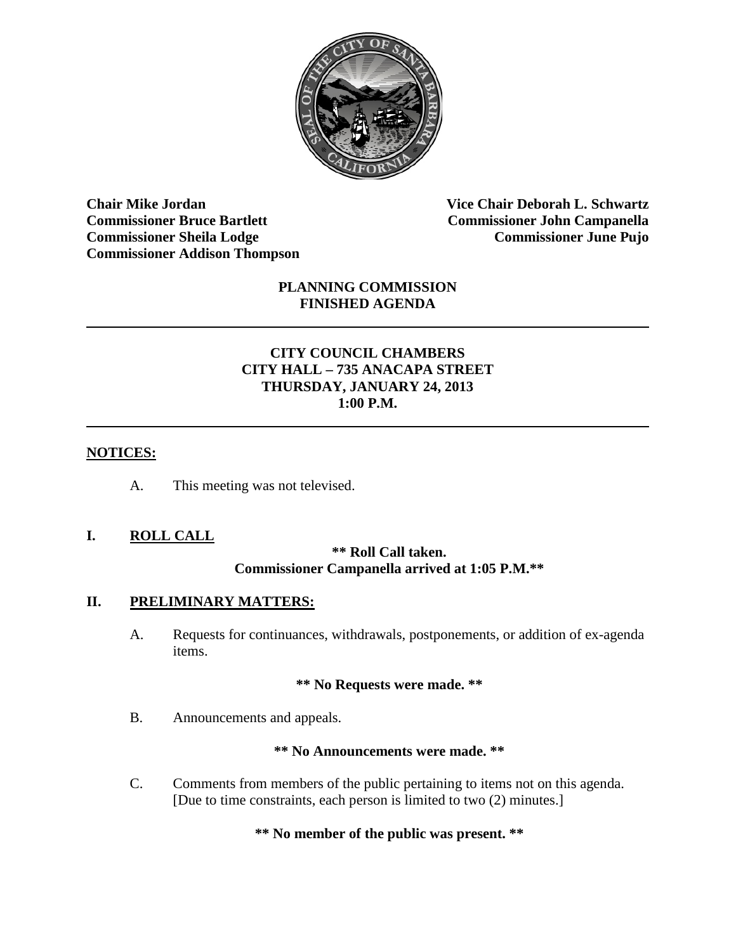

**Chair Mike Jordan Vice Chair Deborah L. Schwartz Commissioner Bruce Bartlett Commissioner John Campanella Commissioner Sheila Lodge Commissioner June Pujo Commissioner Addison Thompson**

#### **PLANNING COMMISSION FINISHED AGENDA**

# **CITY COUNCIL CHAMBERS CITY HALL – 735 ANACAPA STREET THURSDAY, JANUARY 24, 2013 1:00 P.M.**

### **NOTICES:**

A. This meeting was not televised.

# **I. ROLL CALL**

# **\*\* Roll Call taken. Commissioner Campanella arrived at 1:05 P.M.\*\***

#### **II. PRELIMINARY MATTERS:**

A. Requests for continuances, withdrawals, postponements, or addition of ex-agenda items.

#### **\*\* No Requests were made. \*\***

B. Announcements and appeals.

#### **\*\* No Announcements were made. \*\***

C. Comments from members of the public pertaining to items not on this agenda. [Due to time constraints, each person is limited to two (2) minutes.]

**\*\* No member of the public was present. \*\***